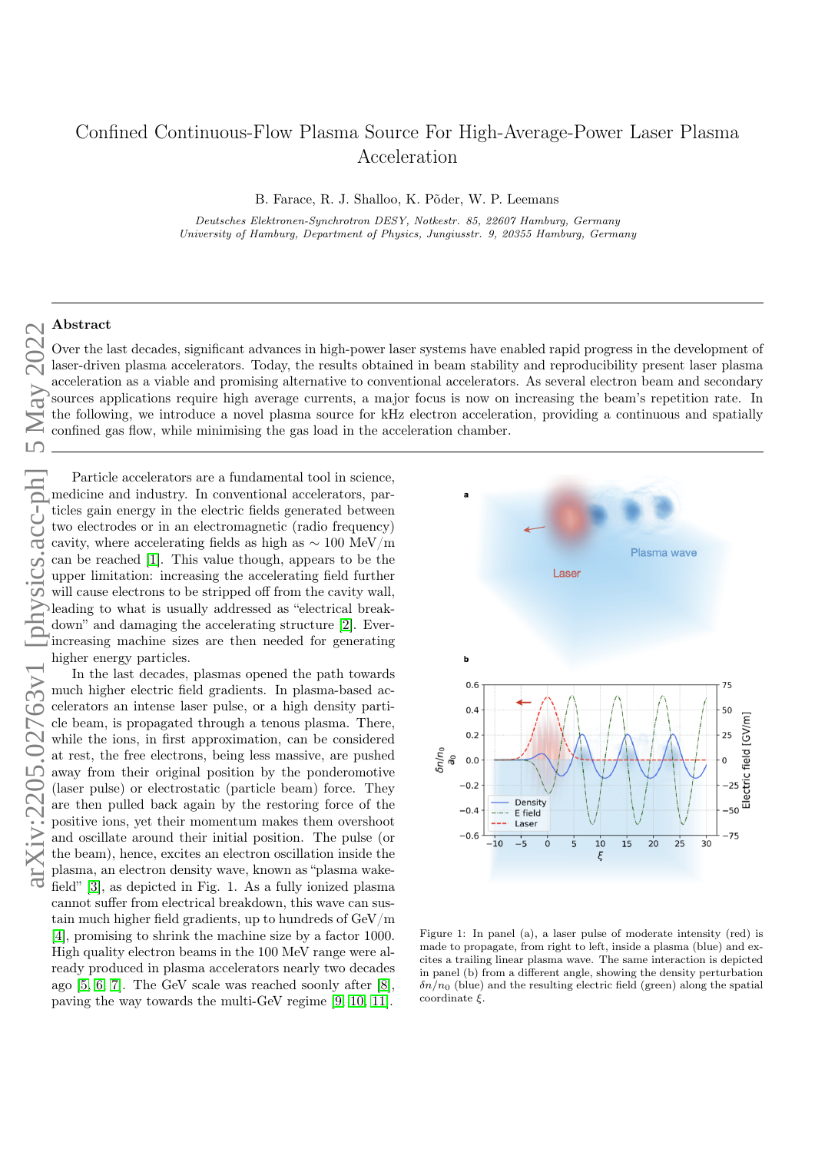## Confined Continuous-Flow Plasma Source For High-Average-Power Laser Plasma Acceleration

B. Farace, R. J. Shalloo, K. Põder, W. P. Leemans

Deutsches Elektronen-Synchrotron DESY, Notkestr. 85, 22607 Hamburg, Germany University of Hamburg, Department of Physics, Jungiusstr. 9, 20355 Hamburg, Germany

## Abstract

Over the last decades, significant advances in high-power laser systems have enabled rapid progress in the development of laser-driven plasma accelerators. Today, the results obtained in beam stability and reproducibility present laser plasma acceleration as a viable and promising alternative to conventional accelerators. As several electron beam and secondary sources applications require high average currents, a major focus is now on increasing the beam's repetition rate. In the following, we introduce a novel plasma source for kHz electron acceleration, providing a continuous and spatially confined gas flow, while minimising the gas load in the acceleration chamber.

Particle accelerators are a fundamental tool in science, medicine and industry. In conventional accelerators, particles gain energy in the electric fields generated between two electrodes or in an electromagnetic (radio frequency) cavity, where accelerating fields as high as  $\sim 100 \text{ MeV/m}$ can be reached [\[1\]](#page-2-0). This value though, appears to be the upper limitation: increasing the accelerating field further will cause electrons to be stripped off from the cavity wall, leading to what is usually addressed as "electrical breakdown" and damaging the accelerating structure [\[2\]](#page-2-1). Everincreasing machine sizes are then needed for generating higher energy particles.

In the last decades, plasmas opened the path towards much higher electric field gradients. In plasma-based accelerators an intense laser pulse, or a high density particle beam, is propagated through a tenous plasma. There, while the ions, in first approximation, can be considered at rest, the free electrons, being less massive, are pushed away from their original position by the ponderomotive (laser pulse) or electrostatic (particle beam) force. They are then pulled back again by the restoring force of the positive ions, yet their momentum makes them overshoot and oscillate around their initial position. The pulse (or the beam), hence, excites an electron oscillation inside the plasma, an electron density wave, known as "plasma wakefield" [\[3\]](#page-2-2), as depicted in Fig. 1. As a fully ionized plasma cannot suffer from electrical breakdown, this wave can sustain much higher field gradients, up to hundreds of GeV/m [\[4\]](#page-2-3), promising to shrink the machine size by a factor 1000. High quality electron beams in the 100 MeV range were already produced in plasma accelerators nearly two decades ago [\[5,](#page-2-4) [6,](#page-2-5) [7\]](#page-2-6). The GeV scale was reached soonly after [\[8\]](#page-2-7), paving the way towards the multi-GeV regime [\[9,](#page-2-8) [10,](#page-2-9) [11\]](#page-2-10).



Figure 1: In panel (a), a laser pulse of moderate intensity (red) is made to propagate, from right to left, inside a plasma (blue) and excites a trailing linear plasma wave. The same interaction is depicted in panel (b) from a different angle, showing the density perturbation  $\delta n/n_0$  (blue) and the resulting electric field (green) along the spatial coordinate  $\xi$ .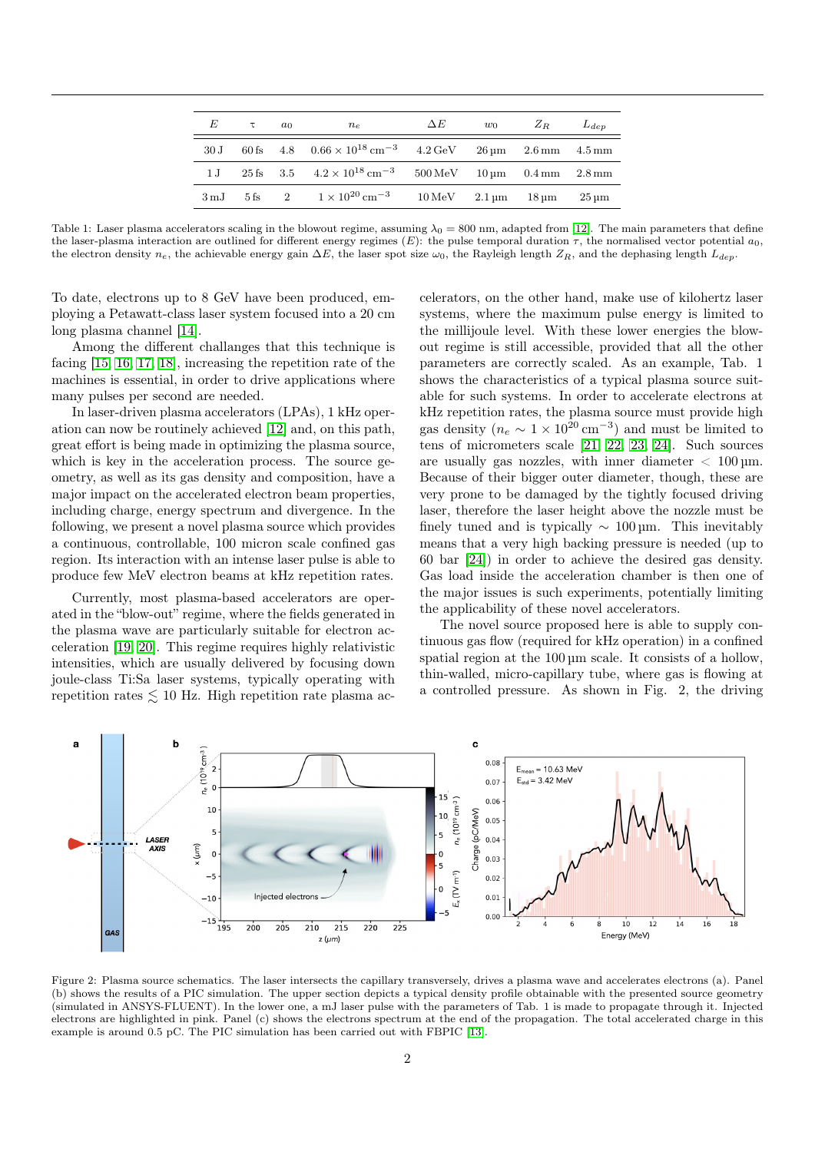| E                 | $\tau$ | $a_0$ | $n_e$                                                                                     | $\Delta E$                                                                           | $w_0$ | $Z_R$ | $L_{dep}$          |
|-------------------|--------|-------|-------------------------------------------------------------------------------------------|--------------------------------------------------------------------------------------|-------|-------|--------------------|
| 30 J              |        |       | 60 fs $4.8$ $0.66 \times 10^{18}$ cm <sup>-3</sup> $4.2$ GeV $26 \mu$ m $2.6$ mm $4.5$ mm |                                                                                      |       |       |                    |
| $1 \text{ J}$     |        |       | 25 fs $3.5$ $4.2 \times 10^{18}$ cm <sup>-3</sup>                                         | $500 \,\mathrm{MeV}$ $10 \,\mathrm{\upmu m}$ $0.4 \,\mathrm{mm}$ $2.8 \,\mathrm{mm}$ |       |       |                    |
| $3 \,\mathrm{mJ}$ |        |       | $5 \text{ fs}$ $2 \qquad 1 \times 10^{20} \text{ cm}^{-3}$                                | $10 \,\mathrm{MeV}$ $2.1 \,\mathrm{µm}$ $18 \,\mathrm{µm}$                           |       |       | $25 \,\mathrm{nm}$ |

Table 1: Laser plasma accelerators scaling in the blowout regime, assuming  $\lambda_0 = 800$  nm, adapted from [\[12\]](#page-2-11). The main parameters that define the laser-plasma interaction are outlined for different energy regimes  $(E)$ : the pulse temporal duration  $\tau$ , the normalised vector potential  $a_0$ , the electron density  $n_e$ , the achievable energy gain  $\Delta E$ , the laser spot size  $\omega_0$ , the Rayleigh length  $Z_R$ , and the dephasing length  $L_{dep}$ .

To date, electrons up to 8 GeV have been produced, employing a Petawatt-class laser system focused into a 20 cm long plasma channel [\[14\]](#page-2-12).

Among the different challanges that this technique is facing [\[15,](#page-2-13) [16,](#page-2-14) [17,](#page-2-15) [18\]](#page-2-16), increasing the repetition rate of the machines is essential, in order to drive applications where many pulses per second are needed.

In laser-driven plasma accelerators (LPAs), 1 kHz operation can now be routinely achieved [\[12\]](#page-2-11) and, on this path, great effort is being made in optimizing the plasma source, which is key in the acceleration process. The source geometry, as well as its gas density and composition, have a major impact on the accelerated electron beam properties, including charge, energy spectrum and divergence. In the following, we present a novel plasma source which provides a continuous, controllable, 100 micron scale confined gas region. Its interaction with an intense laser pulse is able to produce few MeV electron beams at kHz repetition rates.

Currently, most plasma-based accelerators are operated in the "blow-out" regime, where the fields generated in the plasma wave are particularly suitable for electron acceleration [\[19,](#page-2-17) [20\]](#page-2-18). This regime requires highly relativistic intensities, which are usually delivered by focusing down joule-class Ti:Sa laser systems, typically operating with repetition rates  $\leq 10$  Hz. High repetition rate plasma ac-

celerators, on the other hand, make use of kilohertz laser systems, where the maximum pulse energy is limited to the millijoule level. With these lower energies the blowout regime is still accessible, provided that all the other parameters are correctly scaled. As an example, Tab. 1 shows the characteristics of a typical plasma source suitable for such systems. In order to accelerate electrons at kHz repetition rates, the plasma source must provide high gas density  $(n_e \sim 1 \times 10^{20} \text{ cm}^{-3})$  and must be limited to tens of micrometers scale [\[21,](#page-3-0) [22,](#page-3-1) [23,](#page-3-2) [24\]](#page-3-3). Such sources are usually gas nozzles, with inner diameter  $< 100 \,\mathrm{\upmu m}$ . Because of their bigger outer diameter, though, these are very prone to be damaged by the tightly focused driving laser, therefore the laser height above the nozzle must be finely tuned and is typically  $\sim 100 \,\text{\upmu m}$ . This inevitably means that a very high backing pressure is needed (up to 60 bar [\[24\]](#page-3-3)) in order to achieve the desired gas density. Gas load inside the acceleration chamber is then one of the major issues is such experiments, potentially limiting the applicability of these novel accelerators.

The novel source proposed here is able to supply continuous gas flow (required for kHz operation) in a confined spatial region at the  $100 \mu m$  scale. It consists of a hollow, thin-walled, micro-capillary tube, where gas is flowing at a controlled pressure. As shown in Fig. 2, the driving



Figure 2: Plasma source schematics. The laser intersects the capillary transversely, drives a plasma wave and accelerates electrons (a). Panel (b) shows the results of a PIC simulation. The upper section depicts a typical density profile obtainable with the presented source geometry (simulated in ANSYS-FLUENT). In the lower one, a mJ laser pulse with the parameters of Tab. 1 is made to propagate through it. Injected electrons are highlighted in pink. Panel (c) shows the electrons spectrum at the end of the propagation. The total accelerated charge in this example is around 0.5 pC. The PIC simulation has been carried out with FBPIC [\[13\]](#page-2-19).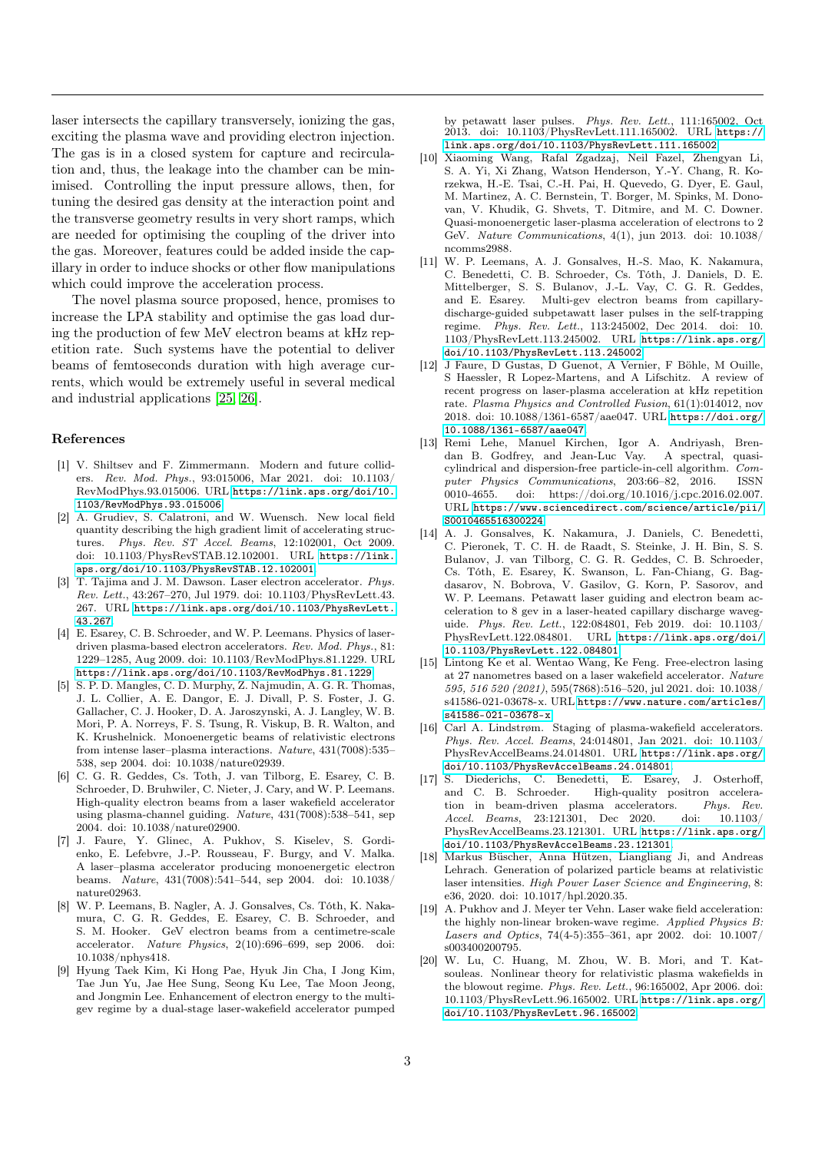laser intersects the capillary transversely, ionizing the gas, exciting the plasma wave and providing electron injection. The gas is in a closed system for capture and recirculation and, thus, the leakage into the chamber can be minimised. Controlling the input pressure allows, then, for tuning the desired gas density at the interaction point and the transverse geometry results in very short ramps, which are needed for optimising the coupling of the driver into the gas. Moreover, features could be added inside the capillary in order to induce shocks or other flow manipulations which could improve the acceleration process.

The novel plasma source proposed, hence, promises to increase the LPA stability and optimise the gas load during the production of few MeV electron beams at kHz repetition rate. Such systems have the potential to deliver beams of femtoseconds duration with high average currents, which would be extremely useful in several medical and industrial applications [\[25,](#page-3-4) [26\]](#page-3-5).

## References

- <span id="page-2-0"></span>[1] V. Shiltsev and F. Zimmermann. Modern and future colliders. Rev. Mod. Phys., 93:015006, Mar 2021. doi: 10.1103/ RevModPhys.93.015006. URL [https://link.aps.org/doi/10.](https://link.aps.org/doi/10.1103/RevModPhys.93.015006) [1103/RevModPhys.93.015006](https://link.aps.org/doi/10.1103/RevModPhys.93.015006).
- <span id="page-2-1"></span>[2] A. Grudiev, S. Calatroni, and W. Wuensch. New local field quantity describing the high gradient limit of accelerating structures. Phys. Rev. ST Accel. Beams, 12:102001, Oct 2009. doi: 10.1103/PhysRevSTAB.12.102001. URL [https://link.](https://link.aps.org/doi/10.1103/PhysRevSTAB.12.102001) [aps.org/doi/10.1103/PhysRevSTAB.12.102001](https://link.aps.org/doi/10.1103/PhysRevSTAB.12.102001).
- <span id="page-2-2"></span>[3] T. Tajima and J. M. Dawson. Laser electron accelerator. Phys. Rev. Lett., 43:267–270, Jul 1979. doi: 10.1103/PhysRevLett.43. 267. URL [https://link.aps.org/doi/10.1103/PhysRevLett.](https://link.aps.org/doi/10.1103/PhysRevLett.43.267) [43.267](https://link.aps.org/doi/10.1103/PhysRevLett.43.267).
- <span id="page-2-3"></span>[4] E. Esarey, C. B. Schroeder, and W. P. Leemans. Physics of laserdriven plasma-based electron accelerators. Rev. Mod. Phys., 81: 1229–1285, Aug 2009. doi: 10.1103/RevModPhys.81.1229. URL <https://link.aps.org/doi/10.1103/RevModPhys.81.1229>.
- <span id="page-2-4"></span>[5] S. P. D. Mangles, C. D. Murphy, Z. Najmudin, A. G. R. Thomas, J. L. Collier, A. E. Dangor, E. J. Divall, P. S. Foster, J. G. Gallacher, C. J. Hooker, D. A. Jaroszynski, A. J. Langley, W. B. Mori, P. A. Norreys, F. S. Tsung, R. Viskup, B. R. Walton, and K. Krushelnick. Monoenergetic beams of relativistic electrons from intense laser–plasma interactions. Nature, 431(7008):535– 538, sep 2004. doi: 10.1038/nature02939.
- <span id="page-2-5"></span>[6] C. G. R. Geddes, Cs. Toth, J. van Tilborg, E. Esarey, C. B. Schroeder, D. Bruhwiler, C. Nieter, J. Cary, and W. P. Leemans. High-quality electron beams from a laser wakefield accelerator using plasma-channel guiding. Nature, 431(7008):538–541, sep 2004. doi: 10.1038/nature02900.
- <span id="page-2-6"></span>[7] J. Faure, Y. Glinec, A. Pukhov, S. Kiselev, S. Gordienko, E. Lefebvre, J.-P. Rousseau, F. Burgy, and V. Malka. A laser–plasma accelerator producing monoenergetic electron beams. Nature, 431(7008):541–544, sep 2004. doi: 10.1038/ nature02963.
- <span id="page-2-7"></span>[8] W. P. Leemans, B. Nagler, A. J. Gonsalves, Cs. Tóth, K. Nakamura, C. G. R. Geddes, E. Esarey, C. B. Schroeder, and S. M. Hooker. GeV electron beams from a centimetre-scale accelerator. Nature Physics, 2(10):696–699, sep 2006. doi: 10.1038/nphys418.
- <span id="page-2-8"></span>[9] Hyung Taek Kim, Ki Hong Pae, Hyuk Jin Cha, I Jong Kim, Tae Jun Yu, Jae Hee Sung, Seong Ku Lee, Tae Moon Jeong, and Jongmin Lee. Enhancement of electron energy to the multigev regime by a dual-stage laser-wakefield accelerator pumped

by petawatt laser pulses. Phys. Rev. Lett., 111:165002, Oct 2013. doi: 10.1103/PhysRevLett.111.165002. URL [https://](https://link.aps.org/doi/10.1103/PhysRevLett.111.165002) [link.aps.org/doi/10.1103/PhysRevLett.111.165002](https://link.aps.org/doi/10.1103/PhysRevLett.111.165002).

- <span id="page-2-9"></span>[10] Xiaoming Wang, Rafal Zgadzaj, Neil Fazel, Zhengyan Li, S. A. Yi, Xi Zhang, Watson Henderson, Y.-Y. Chang, R. Korzekwa, H.-E. Tsai, C.-H. Pai, H. Quevedo, G. Dyer, E. Gaul, M. Martinez, A. C. Bernstein, T. Borger, M. Spinks, M. Donovan, V. Khudik, G. Shvets, T. Ditmire, and M. C. Downer. Quasi-monoenergetic laser-plasma acceleration of electrons to 2 GeV. Nature Communications, 4(1), jun 2013. doi: 10.1038/ ncomms2988.
- <span id="page-2-10"></span>[11] W. P. Leemans, A. J. Gonsalves, H.-S. Mao, K. Nakamura, C. Benedetti, C. B. Schroeder, Cs. Tóth, J. Daniels, D. E. Mittelberger, S. S. Bulanov, J.-L. Vay, C. G. R. Geddes, and E. Esarey. Multi-gev electron beams from capillarydischarge-guided subpetawatt laser pulses in the self-trapping regime. Phys. Rev. Lett., 113:245002, Dec 2014. doi: 10. 1103/PhysRevLett.113.245002. URL [https://link.aps.org/](https://link.aps.org/doi/10.1103/PhysRevLett.113.245002) [doi/10.1103/PhysRevLett.113.245002](https://link.aps.org/doi/10.1103/PhysRevLett.113.245002).
- <span id="page-2-11"></span>[12] J Faure, D Gustas, D Guenot, A Vernier, F Böhle, M Ouille, S Haessler, R Lopez-Martens, and A Lifschitz. A review of recent progress on laser-plasma acceleration at kHz repetition rate. Plasma Physics and Controlled Fusion, 61(1):014012, nov 2018. doi: 10.1088/1361-6587/aae047. URL [https://doi.org/](https://doi.org/10.1088/1361-6587/aae047) [10.1088/1361-6587/aae047](https://doi.org/10.1088/1361-6587/aae047).
- <span id="page-2-19"></span>[13] Remi Lehe, Manuel Kirchen, Igor A. Andriyash, Brendan B. Godfrey, and Jean-Luc Vay. A spectral, quasicylindrical and dispersion-free particle-in-cell algorithm. Computer Physics Communications, 203:66–82, 2016. ISSN 0010-4655. doi: https://doi.org/10.1016/j.cpc.2016.02.007. URL [https://www.sciencedirect.com/science/article/pii/](https://www.sciencedirect.com/science/article/pii/S0010465516300224) [S0010465516300224](https://www.sciencedirect.com/science/article/pii/S0010465516300224).
- <span id="page-2-12"></span>[14] A. J. Gonsalves, K. Nakamura, J. Daniels, C. Benedetti, C. Pieronek, T. C. H. de Raadt, S. Steinke, J. H. Bin, S. S. Bulanov, J. van Tilborg, C. G. R. Geddes, C. B. Schroeder, Cs. Tóth, E. Esarey, K. Swanson, L. Fan-Chiang, G. Bagdasarov, N. Bobrova, V. Gasilov, G. Korn, P. Sasorov, and W. P. Leemans. Petawatt laser guiding and electron beam acceleration to 8 gev in a laser-heated capillary discharge waveguide. Phys. Rev. Lett., 122:084801, Feb 2019. doi: 10.1103/ PhysRevLett.122.084801. URL [https://link.aps.org/doi/](https://link.aps.org/doi/10.1103/PhysRevLett.122.084801) [10.1103/PhysRevLett.122.084801](https://link.aps.org/doi/10.1103/PhysRevLett.122.084801).
- <span id="page-2-13"></span>[15] Lintong Ke et al. Wentao Wang, Ke Feng. Free-electron lasing at 27 nanometres based on a laser wakefield accelerator. Nature 595, 516 520 (2021), 595(7868):516–520, jul 2021. doi: 10.1038/ s41586-021-03678-x. URL [https://www.nature.com/articles/](https://www.nature.com/articles/s41586-021-03678-x) [s41586-021-03678-x](https://www.nature.com/articles/s41586-021-03678-x).
- <span id="page-2-14"></span>[16] Carl A. Lindstrøm. Staging of plasma-wakefield accelerators. Phys. Rev. Accel. Beams, 24:014801, Jan 2021. doi: 10.1103/ PhysRevAccelBeams.24.014801. URL [https://link.aps.org/](https://link.aps.org/doi/10.1103/PhysRevAccelBeams.24.014801) [doi/10.1103/PhysRevAccelBeams.24.014801](https://link.aps.org/doi/10.1103/PhysRevAccelBeams.24.014801).
- <span id="page-2-15"></span>[17] S. Diederichs, C. Benedetti, E. Esarey, J. Osterhoff, and C. B. Schroeder. High-quality positron acceleration in beam-driven plasma accelerators. Phys. Rev.<br>Accel. Beams. 23:121301. Dec 2020. doi: 10.1103/ Accel. Beams, 23:121301, Dec 2020. PhysRevAccelBeams.23.121301. URL [https://link.aps.org/](https://link.aps.org/doi/10.1103/PhysRevAccelBeams.23.121301) [doi/10.1103/PhysRevAccelBeams.23.121301](https://link.aps.org/doi/10.1103/PhysRevAccelBeams.23.121301).
- <span id="page-2-16"></span>[18] Markus Büscher, Anna Hützen, Liangliang Ji, and Andreas Lehrach. Generation of polarized particle beams at relativistic laser intensities. High Power Laser Science and Engineering, 8: e36, 2020. doi: 10.1017/hpl.2020.35.
- <span id="page-2-17"></span>[19] A. Pukhov and J. Meyer ter Vehn. Laser wake field acceleration: the highly non-linear broken-wave regime. Applied Physics B: Lasers and Optics, 74(4-5):355-361, apr 2002. doi: 10.1007/ s003400200795.
- <span id="page-2-18"></span>[20] W. Lu, C. Huang, M. Zhou, W. B. Mori, and T. Katsouleas. Nonlinear theory for relativistic plasma wakefields in the blowout regime. Phys. Rev. Lett., 96:165002, Apr 2006. doi: 10.1103/PhysRevLett.96.165002. URL [https://link.aps.org/](https://link.aps.org/doi/10.1103/PhysRevLett.96.165002) [doi/10.1103/PhysRevLett.96.165002](https://link.aps.org/doi/10.1103/PhysRevLett.96.165002).